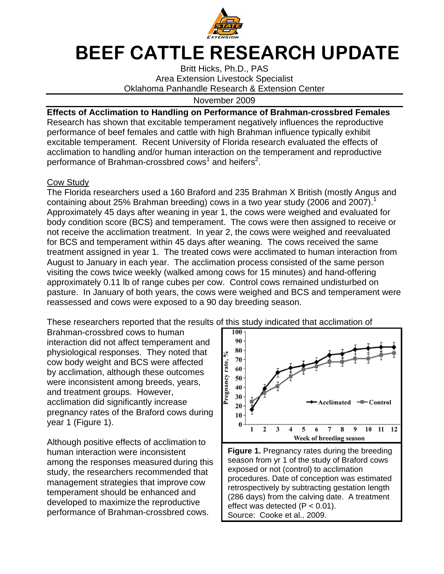

# BEEF CATTLE RESEARCH UPDATE

Britt Hicks, Ph.D., PAS Area Extension Livestock Specialist Oklahoma Panhandle Research & Extension Center

November 2009

### **Effects of Acclimation to Handling on Performance of Brahman-crossbred Females**

Research has shown that excitable temperament negatively influences the reproductive performance of beef females and cattle with high Brahman influence typically exhibit excitable temperament. Recent University of Florida research evaluated the effects of acclimation to handling and/or human interaction on the temperament and reproductive performance of Brahman-crossbred cows<sup>1</sup> and heifers<sup>2</sup>.

#### Cow Study

The Florida researchers used a 160 Braford and 235 Brahman X British (mostly Angus and containing about 25% Brahman breeding) cows in a two year study (2006 and 2007).<sup>1</sup> Approximately 45 days after weaning in year 1, the cows were weighed and evaluated for body condition score (BCS) and temperament. The cows were then assigned to receive or not receive the acclimation treatment. In year 2, the cows were weighed and reevaluated for BCS and temperament within 45 days after weaning. The cows received the same treatment assigned in year 1. The treated cows were acclimated to human interaction from August to January in each year. The acclimation process consisted of the same person visiting the cows twice weekly (walked among cows for 15 minutes) and hand-offering approximately 0.11 lb of range cubes per cow. Control cows remained undisturbed on pasture. In January of both years, the cows were weighed and BCS and temperament were reassessed and cows were exposed to a 90 day breeding season.

These researchers reported that the results of this study indicated that acclimation of

Brahman-crossbred cows to human interaction did not affect temperament and physiological responses. They noted that cow body weight and BCS were affected by acclimation, although these outcomes were inconsistent among breeds, years, and treatment groups. However, acclimation did significantly increase pregnancy rates of the Braford cows during year 1 (Figure 1).

Although positive effects of acclimation to human interaction were inconsistent among the responses measured during this study, the researchers recommended that management strategies that improve cow temperament should be enhanced and developed to maximize the reproductive performance of Brahman-crossbred cows.



effect was detected  $(P < 0.01)$ . Source: Cooke et al., 2009.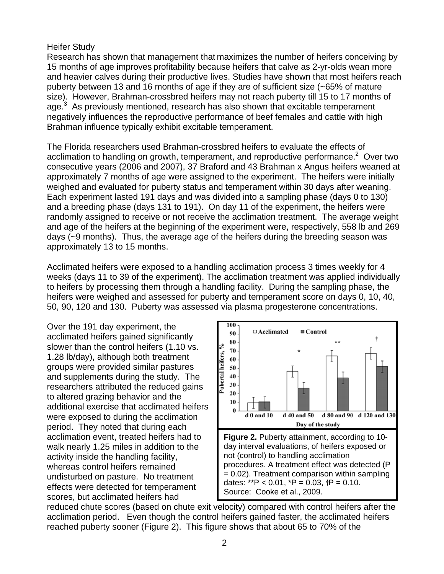#### Heifer Study

Research has shown that management that maximizes the number of heifers conceiving by 15 months of age improves profitability because heifers that calve as 2-yr-olds wean more and heavier calves during their productive lives. Studies have shown that most heifers reach puberty between 13 and 16 months of age if they are of sufficient size (~65% of mature size). However, Brahman-crossbred heifers may not reach puberty till 15 to 17 months of age.<sup>3</sup> As previously mentioned, research has also shown that excitable temperament negatively influences the reproductive performance of beef females and cattle with high Brahman influence typically exhibit excitable temperament.

The Florida researchers used Brahman-crossbred heifers to evaluate the effects of acclimation to handling on growth, temperament, and reproductive performance.<sup>2</sup> Over two consecutive years (2006 and 2007), 37 Braford and 43 Brahman x Angus heifers weaned at approximately 7 months of age were assigned to the experiment. The heifers were initially weighed and evaluated for puberty status and temperament within 30 days after weaning. Each experiment lasted 191 days and was divided into a sampling phase (days 0 to 130) and a breeding phase (days 131 to 191). On day 11 of the experiment, the heifers were randomly assigned to receive or not receive the acclimation treatment. The average weight and age of the heifers at the beginning of the experiment were, respectively, 558 lb and 269 days (~9 months). Thus, the average age of the heifers during the breeding season was approximately 13 to 15 months.

Acclimated heifers were exposed to a handling acclimation process 3 times weekly for 4 weeks (days 11 to 39 of the experiment). The acclimation treatment was applied individually to heifers by processing them through a handling facility. During the sampling phase, the heifers were weighed and assessed for puberty and temperament score on days 0, 10, 40, 50, 90, 120 and 130. Puberty was assessed via plasma progesterone concentrations.

Over the 191 day experiment, the acclimated heifers gained significantly slower than the control heifers (1.10 vs. 1.28 lb/day), although both treatment groups were provided similar pastures and supplements during the study. The researchers attributed the reduced gains to altered grazing behavior and the additional exercise that acclimated heifers were exposed to during the acclimation period. They noted that during each acclimation event, treated heifers had to walk nearly 1.25 miles in addition to the activity inside the handling facility, whereas control heifers remained undisturbed on pasture. No treatment effects were detected for temperament scores, but acclimated heifers had



reduced chute scores (based on chute exit velocity) compared with control heifers after the acclimation period. Even though the control heifers gained faster, the acclimated heifers reached puberty sooner (Figure 2). This figure shows that about 65 to 70% of the